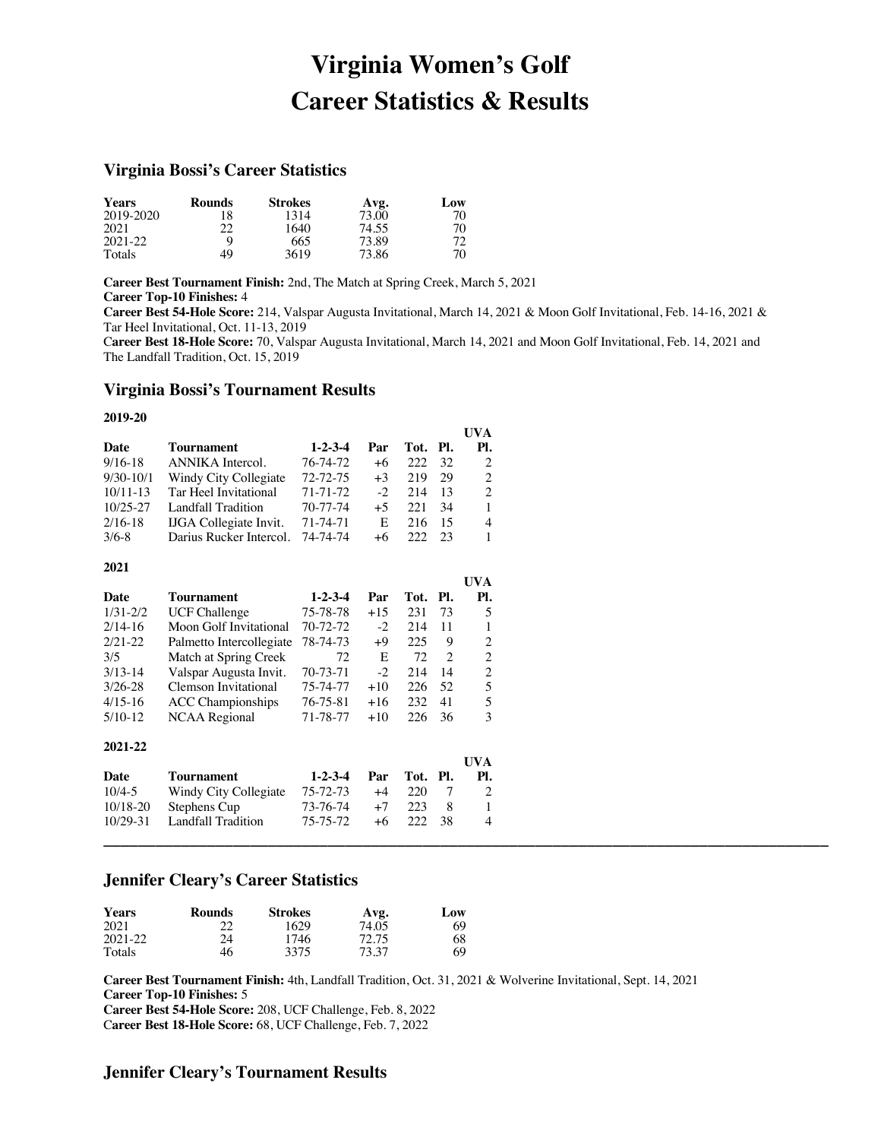# **Virginia Women's Golf Career Statistics & Results**

### **Virginia Bossi's Career Statistics**

| <b>Years</b> | <b>Rounds</b> | <b>Strokes</b> | Avg.  | Low |
|--------------|---------------|----------------|-------|-----|
| 2019-2020    | 18            | 1314           | 73.00 | 70  |
| 2021         | 22            | 1640           | 74.55 | 70  |
| 2021-22      |               | 665            | 73.89 | 72  |
| Totals       | 49            | 3619           | 73.86 | 70  |

**Career Best Tournament Finish:** 2nd, The Match at Spring Creek, March 5, 2021 **Career Top-10 Finishes:** 4

**Career Best 54-Hole Score:** 214, Valspar Augusta Invitational, March 14, 2021 & Moon Golf Invitational, Feb. 14-16, 2021 & Tar Heel Invitational, Oct. 11-13, 2019

C**areer Best 18-Hole Score:** 70, Valspar Augusta Invitational, March 14, 2021 and Moon Golf Invitational, Feb. 14, 2021 and The Landfall Tradition, Oct. 15, 2019

**UVA**

# **Virginia Bossi's Tournament Results**

### **2019-20**

|              |                               |                 |       |      |     | UVA               |
|--------------|-------------------------------|-----------------|-------|------|-----|-------------------|
| Date         | Tournament                    | $1 - 2 - 3 - 4$ | Par   | Tot. | PI. | Pl.               |
| $9/16 - 18$  | <b>ANNIKA</b> Intercol.       | 76-74-72        | +6    | 222  | 32  | 2                 |
| $9/30-10/1$  | Windy City Collegiate         | 72-72-75        | $+3$  | 219  | 29  | $\boldsymbol{2}$  |
| $10/11 - 13$ | Tar Heel Invitational         | 71-71-72        | $-2$  | 214  | 13  | $\overline{c}$    |
| $10/25 - 27$ | <b>Landfall Tradition</b>     | 70-77-74        | $+5$  | 221  | 34  | $\mathbf{1}$      |
| $2/16-18$    | <b>IJGA</b> Collegiate Invit. | 71-74-71        | E     | 216  | 15  | 4                 |
| $3/6 - 8$    | Darius Rucker Intercol.       | 74-74-74        | $+6$  | 222  | 23  | 1                 |
| 2021         |                               |                 |       |      |     |                   |
|              |                               |                 |       |      |     | <b>UVA</b>        |
| Date         | <b>Tournament</b>             | $1 - 2 - 3 - 4$ | Par   | Tot. | Pl. | Pl.               |
| $1/31 - 2/2$ | <b>UCF Challenge</b>          | 75-78-78        | $+15$ | 231  | 73  | 5                 |
| $2/14-16$    | Moon Golf Invitational        | 70-72-72        | $-2$  | 214  | 11  | 1                 |
| $2/21 - 22$  | Palmetto Intercollegiate      | 78-74-73        | +9    | 225  | 9   | $\overline{c}$    |
| 3/5          | Match at Spring Creek         | 72              | E     | 72   | 2   | $\sqrt{2}$        |
| $3/13-14$    | Valspar Augusta Invit.        | 70-73-71        | $-2$  | 214  | 14  | $\overline{c}$    |
| $3/26 - 28$  | <b>Clemson Invitational</b>   | 75-74-77        | $+10$ | 226  | 52  | 5                 |
| $4/15-16$    | <b>ACC</b> Championships      | 76-75-81        | $+16$ | 232  | 41  | 5                 |
| $5/10-12$    | <b>NCAA Regional</b>          | 71-78-77        | $+10$ | 226  | 36  | 3                 |
| 2021-22      |                               |                 |       |      |     |                   |
| Date         | Tournament                    | $1 - 2 - 3 - 4$ | Par   | Tot. | Pl. | <b>UVA</b><br>PI. |

| $10/29-3$ | <b>Fredition</b><br>. andtall | 75-75-72 | $+6$ | 38 | ∸ |  |  |  |
|-----------|-------------------------------|----------|------|----|---|--|--|--|
|           |                               |          |      |    |   |  |  |  |

# **Jennifer Cleary's Career Statistics**

| <b>Years</b> | Rounds | <b>Strokes</b> | Avg.  | Low |
|--------------|--------|----------------|-------|-----|
| 2021         | 22     | 1629           | 74.05 | 69  |
| 2021-22      | 24     | 1746           | 72.75 | 68  |
| Totals       | 46     | 3375           | 73.37 | 69  |

10/4-5 Windy City Collegiate 75-72-73 +4 220 7 2 10/18-20 Stephens Cup 73-76-74 +7 223 8 1

**Career Best Tournament Finish:** 4th, Landfall Tradition, Oct. 31, 2021 & Wolverine Invitational, Sept. 14, 2021 **Career Top-10 Finishes:** 5

**Career Best 54-Hole Score:** 208, UCF Challenge, Feb. 8, 2022 C**areer Best 18-Hole Score:** 68, UCF Challenge, Feb. 7, 2022

# **Jennifer Cleary's Tournament Results**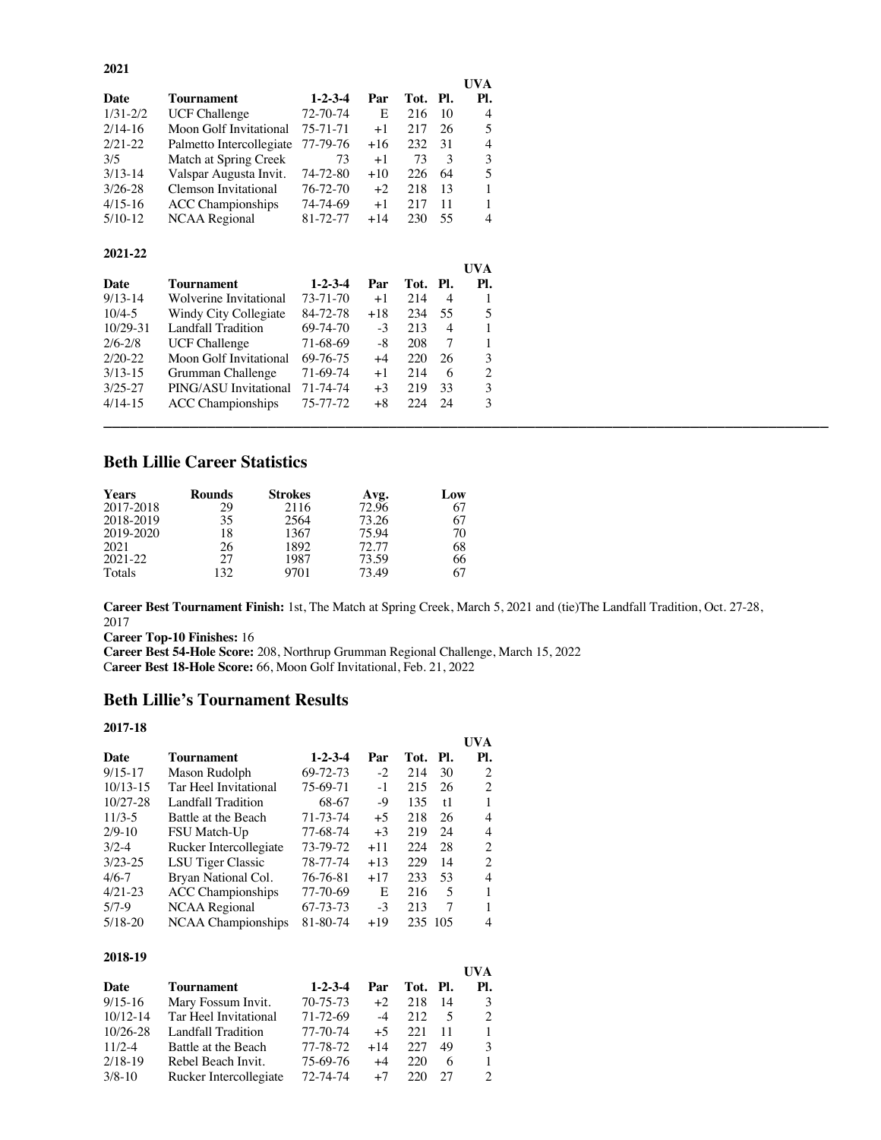|              |                          |                 |       |          |    | UVA |
|--------------|--------------------------|-----------------|-------|----------|----|-----|
| Date         | Tournament               | $1 - 2 - 3 - 4$ | Par   | Tot. Pl. |    | PI. |
| $1/31 - 2/2$ | <b>UCF Challenge</b>     | 72-70-74        | E     | 216      | 10 | 4   |
| $2/14-16$    | Moon Golf Invitational   | 75-71-71        | $+1$  | 217      | 26 | 5   |
| $2/21 - 22$  | Palmetto Intercollegiate | 77-79-76        | $+16$ | 232      | 31 | 4   |
| 3/5          | Match at Spring Creek    | 73              | $+1$  | 73       | 3  | 3   |
| $3/13-14$    | Valspar Augusta Invit.   | 74-72-80        | $+10$ | 226      | 64 | 5   |
| $3/26 - 28$  | Clemson Invitational     | $76 - 72 - 70$  | $+2$  | 218      | 13 |     |
| $4/15-16$    | <b>ACC</b> Championships | 74-74-69        | $+1$  | 217      | 11 | 1   |
| $5/10-12$    | NCAA Regional            | 81-72-77        | $+14$ | 230      | 55 | 4   |

### **2021-22**

|             |                          |                 |       |          |                | <b>UVA</b> |
|-------------|--------------------------|-----------------|-------|----------|----------------|------------|
| Date        | Tournament               | $1 - 2 - 3 - 4$ | Par   | Tot. Pl. |                | Pl.        |
| $9/13-14$   | Wolverine Invitational   | 73-71-70        | $+1$  | 214      | $\overline{4}$ |            |
| $10/4 - 5$  | Windy City Collegiate    | 84-72-78        | $+18$ | 234      | -55            | 5          |
| 10/29-31    | Landfall Tradition       | 69-74-70        | $-3$  | 213      | $\overline{4}$ |            |
| $2/6 - 2/8$ | <b>UCF Challenge</b>     | 71-68-69        | -8    | 208      |                |            |
| $2/20-22$   | Moon Golf Invitational   | 69-76-75        | $+4$  | 220      | 26             | 3          |
| $3/13-15$   | Grumman Challenge        | 71-69-74        | $+1$  | 214      | 6              | 2          |
| $3/25 - 27$ | PING/ASU Invitational    | 71-74-74        | $+3$  | 219      | -33            | 3          |
| $4/14-15$   | <b>ACC</b> Championships | 75-77-72        | $+8$  | 224      | -24            | 3          |
|             |                          |                 |       |          |                |            |

# **Beth Lillie Career Statistics**

| <b>Years</b> | <b>Rounds</b> | <b>Strokes</b> | Avg.  | Low |
|--------------|---------------|----------------|-------|-----|
| 2017-2018    | 29            | 2116           | 72.96 | 67  |
| 2018-2019    | 35            | 2564           | 73.26 | 67  |
| 2019-2020    | 18            | 1367           | 75.94 | 70  |
| 2021         | 26            | 1892           | 72.77 | 68  |
| 2021-22      | 27            | 1987           | 73.59 | 66  |
| Totals       | 132           | 9701           | 73.49 | 67  |

**Career Best Tournament Finish:** 1st, The Match at Spring Creek, March 5, 2021 and (tie)The Landfall Tradition, Oct. 27-28, 2017

**Career Top-10 Finishes:** 16

**Career Best 54-Hole Score:** 208, Northrup Grumman Regional Challenge, March 15, 2022 C**areer Best 18-Hole Score:** 66, Moon Golf Invitational, Feb. 21, 2022

# **Beth Lillie's Tournament Results**

### **2017-18**

|              |                           |                 |       |         |      | UVA |
|--------------|---------------------------|-----------------|-------|---------|------|-----|
| Date         | <b>Tournament</b>         | $1 - 2 - 3 - 4$ | Par   | Tot.    | -PI. | Pl. |
| $9/15 - 17$  | Mason Rudolph             | 69-72-73        | $-2$  | 214     | 30   | 2   |
| $10/13 - 15$ | Tar Heel Invitational     | 75-69-71        | $-1$  | 215     | 26   | 2   |
| $10/27 - 28$ | Landfall Tradition        | 68-67           | -9    | 135     | t1   | 1   |
| $11/3-5$     | Battle at the Beach       | 71-73-74        | $+5$  | 218     | 26   | 4   |
| $2/9-10$     | FSU Match-Up              | 77-68-74        | $+3$  | 219     | 24   | 4   |
| $3/2-4$      | Rucker Intercollegiate    | 73-79-72        | $+11$ | 224     | 28   | 2   |
| $3/23 - 25$  | LSU Tiger Classic         | 78-77-74        | $+13$ | 229     | 14   | 2   |
| $4/6 - 7$    | Bryan National Col.       | 76-76-81        | $+17$ | 233     | 53   | 4   |
| $4/21-23$    | <b>ACC</b> Championships  | 77-70-69        | E     | 216     | 5    |     |
| $5/7-9$      | NCAA Regional             | 67-73-73        | $-3$  | 213     | 7    |     |
| $5/18 - 20$  | <b>NCAA</b> Championships | 81-80-74        | $+19$ | 235 105 |      | 4   |

### **2018-19**

|              |                        |                 |       |          |     | UVA           |
|--------------|------------------------|-----------------|-------|----------|-----|---------------|
| Date         | <b>Tournament</b>      | $1 - 2 - 3 - 4$ | Par   | Tot. Pl. |     | Pl.           |
| $9/15-16$    | Mary Fossum Invit.     | $70 - 75 - 73$  | $+2$  | 218      | -14 | 3             |
| $10/12 - 14$ | Tar Heel Invitational  | 71-72-69        | $-4$  | 212      | 5   | 2             |
| $10/26 - 28$ | Landfall Tradition     | 77-70-74        | $+5$  | 22.1     | 11  | 1             |
| $11/2 - 4$   | Battle at the Beach    | 77-78-72        | $+14$ | 227      | 49  | $\mathcal{R}$ |
| $2/18-19$    | Rebel Beach Invit.     | 75-69-76        | $+4$  | 220      | 6   |               |
| $3/8 - 10$   | Rucker Intercollegiate | 72-74-74        | $+7$  | 220      | 27  |               |

### **2021**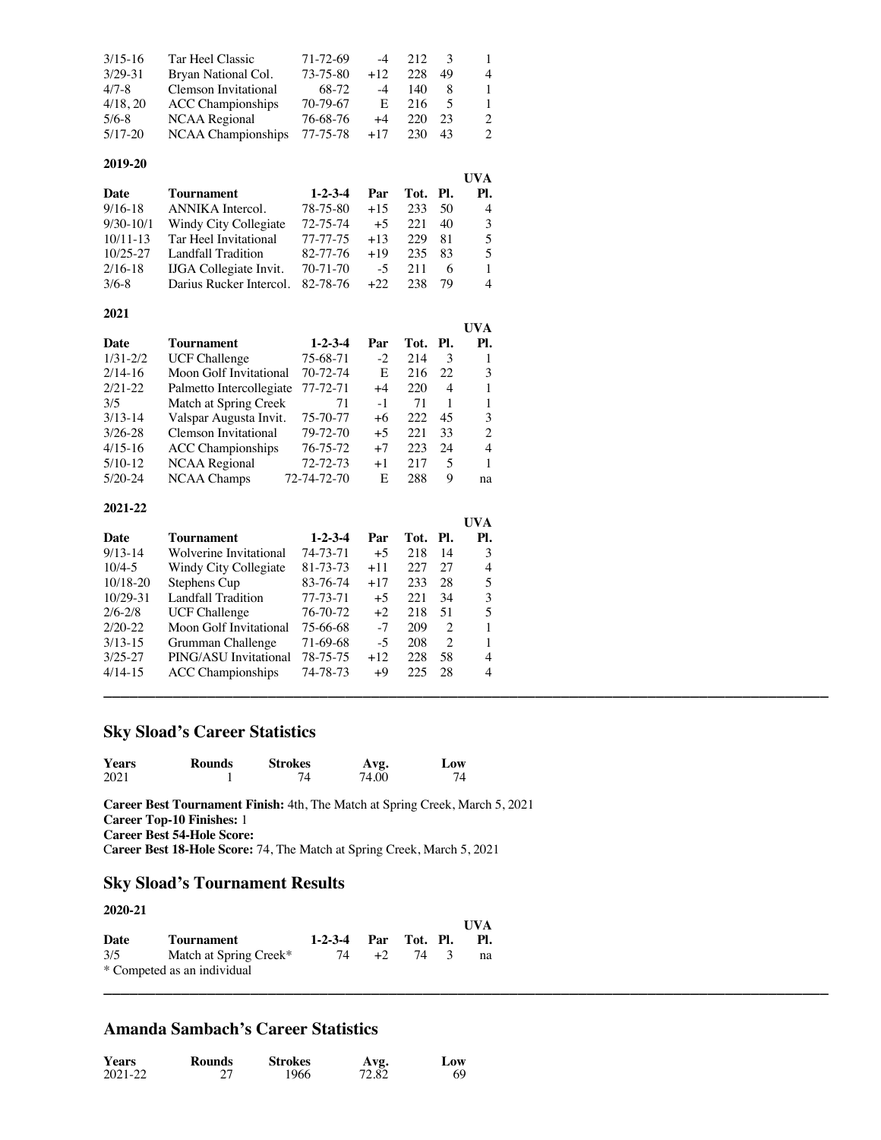| $3/15 - 16$ | Tar Heel Classic            | $71 - 72 - 69$ | $-4$   | 212 |    |   |
|-------------|-----------------------------|----------------|--------|-----|----|---|
| $3/29 - 31$ | Bryan National Col.         | 73-75-80       | $+12.$ | 228 | 49 | 4 |
| $4/7 - 8$   | <b>Clemson Invitational</b> | 68-72          | $-4$   | 140 |    | 1 |
| 4/18, 20    | <b>ACC</b> Championships    | 70-79-67       | E.     | 216 |    | 1 |
| $5/6 - 8$   | NCAA Regional               | 76-68-76       | $+4$   | 220 | 23 | 2 |
| $5/17-20$   | <b>NCAA</b> Championships   | 77-75-78       | $+17$  | 230 | 43 | 2 |

### **2019-20**

|              |                               |                 |       |          |    | UVA            |
|--------------|-------------------------------|-----------------|-------|----------|----|----------------|
| Date         | Tournament                    | $1 - 2 - 3 - 4$ | Par   | Tot. Pl. |    | PI.            |
| $9/16 - 18$  | ANNIKA Intercol.              | 78-75-80        | $+15$ | 233      | 50 | $\overline{4}$ |
| $9/30-10/1$  | Windy City Collegiate         | 72-75-74        | $+5$  | 22.1     | 40 | 3              |
| $10/11 - 13$ | Tar Heel Invitational         | 77-77-75        | $+13$ | 229      | 81 | 5              |
| $10/25 - 27$ | Landfall Tradition            | 82-77-76        | $+19$ | 235      | 83 | 5              |
| $2/16-18$    | <b>IJGA</b> Collegiate Invit. | $70 - 71 - 70$  | $-5$  | 211      | 6  |                |
| $3/6-8$      | Darius Rucker Intercol.       | 82-78-76        | $+22$ | 238      | 79 | 4              |

#### **2021**

|              |                          |                 |      |      |     | UVA |
|--------------|--------------------------|-----------------|------|------|-----|-----|
| Date         | Tournament               | $1 - 2 - 3 - 4$ | Par  | Tot. | PI. | Pl. |
| $1/31 - 2/2$ | <b>UCF Challenge</b>     | 75-68-71        | $-2$ | 214  | 3   |     |
| $2/14-16$    | Moon Golf Invitational   | 70-72-74        | E    | 216  | 22  | 3   |
| $2/21-22$    | Palmetto Intercollegiate | 77-72-71        | $+4$ | 220  | 4   |     |
| 3/5          | Match at Spring Creek    | 71              | $-1$ | 71   |     |     |
| $3/13-14$    | Valspar Augusta Invit.   | 75-70-77        | +6   | 222  | 45  | 3   |
| $3/26 - 28$  | Clemson Invitational     | 79-72-70        | $+5$ | 22.1 | 33  | 2   |
| $4/15-16$    | <b>ACC</b> Championships | 76-75-72        | $+7$ | 223  | 24  | 4   |
| $5/10-12$    | <b>NCAA</b> Regional     | 72-72-73        | $+1$ | 217  | 5   |     |
| $5/20-24$    | <b>NCAA Champs</b>       | 72-74-72-70     | E    | 288  | 9   | na  |

#### **2021-22**

|                          |                 |       |     |     | <b>UVA</b> |
|--------------------------|-----------------|-------|-----|-----|------------|
| <b>Tournament</b>        | $1 - 2 - 3 - 4$ | Par   |     |     | Pl.        |
| Wolverine Invitational   | 74-73-71        | $+5$  | 218 | -14 | 3          |
| Windy City Collegiate    | 81-73-73        | $+11$ | 227 | 27  | 4          |
| Stephens Cup             | 83-76-74        | $+17$ | 233 | 28  | 5          |
| Landfall Tradition       | 77-73-71        | $+5$  | 221 | 34  | 3          |
| <b>UCF Challenge</b>     | 76-70-72        | $+2$  | 218 | 51  | 5          |
| Moon Golf Invitational   | 75-66-68        | $-7$  | 209 | 2   |            |
| Grumman Challenge        | 71-69-68        | $-5$  | 208 | 2   |            |
| PING/ASU Invitational    | 78-75-75        | $+12$ | 228 | .58 | 4          |
| <b>ACC</b> Championships | 74-78-73        | +9    | 225 | -28 | 4          |
|                          |                 |       |     |     |            |
|                          |                 |       |     |     | Tot. Pl.   |

# **Sky Sload's Career Statistics**

| <b>Years</b> | Rounds | <b>Strokes</b> | Avg.  | Low |
|--------------|--------|----------------|-------|-----|
| 2021         |        |                | 74.00 |     |

**Career Best Tournament Finish:** 4th, The Match at Spring Creek, March 5, 2021 **Career Top-10 Finishes:** 1 **Career Best 54-Hole Score:** C**areer Best 18-Hole Score:** 74, The Match at Spring Creek, March 5, 2021

# **Sky Sload's Tournament Results**

### **2020-21**

|      |                             |                      |      |      | <b>I</b> IVA |
|------|-----------------------------|----------------------|------|------|--------------|
| Date | <b>Tournament</b>           | 1-2-3-4 Par Tot. Pl. |      |      | PI.          |
| 3/5  | Match at Spring Creek*      | 74                   | $+2$ | 74 3 | na           |
|      | * Competed as an individual |                      |      |      |              |

**\_\_\_\_\_\_\_\_\_\_\_\_\_\_\_\_\_\_\_\_\_\_\_\_\_\_\_\_\_\_\_\_\_\_\_\_\_\_\_\_\_\_\_\_\_\_\_\_\_\_\_\_\_\_\_\_\_\_\_\_\_\_\_\_\_\_\_\_\_\_\_\_\_\_\_\_\_\_\_\_\_\_\_\_**

# **Amanda Sambach's Career Statistics**

| Years   | Rounds | <b>Strokes</b> | Avg.  | Low |
|---------|--------|----------------|-------|-----|
| 2021-22 |        | 1966           | 72.82 | 69  |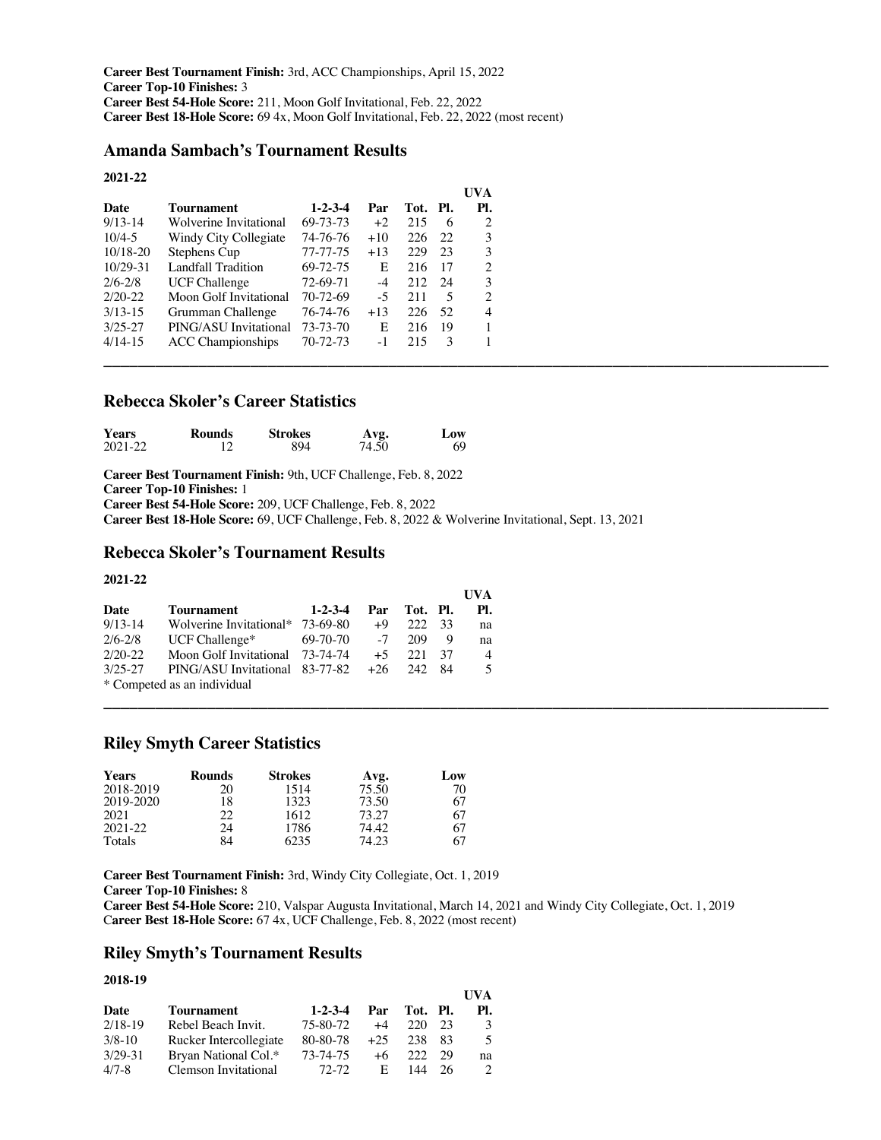**Career Best Tournament Finish:** 3rd, ACC Championships, April 15, 2022 **Career Top-10 Finishes:** 3 **Career Best 54-Hole Score:** 211, Moon Golf Invitational, Feb. 22, 2022 **Career Best 18-Hole Score:** 69 4x, Moon Golf Invitational, Feb. 22, 2022 (most recent)

# **Amanda Sambach's Tournament Results**

### **2021-22**

|             |                          |                 |       |          |     | <b>UVA</b> |
|-------------|--------------------------|-----------------|-------|----------|-----|------------|
| Date        | Tournament               | $1 - 2 - 3 - 4$ | Par   | Tot. Pl. |     | Pl.        |
| $9/13-14$   | Wolverine Invitational   | 69-73-73        | $+2$  | 215      | 6   | 2          |
| $10/4 - 5$  | Windy City Collegiate    | 74-76-76        | $+10$ | 226      | -22 | 3          |
| 10/18-20    | Stephens Cup             | 77-77-75        | $+13$ | 229      | 23  | 3          |
| 10/29-31    | Landfall Tradition       | 69-72-75        | E     | 216      | -17 | 2          |
| $2/6 - 2/8$ | <b>UCF Challenge</b>     | 72-69-71        | $-4$  | 212      | -24 | 3          |
| $2/20-22$   | Moon Golf Invitational   | 70-72-69        | $-5$  | 211      | 5   | 2          |
| $3/13-15$   | Grumman Challenge        | 76-74-76        | $+13$ | 226      | -52 | 4          |
| $3/25 - 27$ | PING/ASU Invitational    | 73-73-70        | E     | 216      | -19 |            |
| $4/14-15$   | <b>ACC</b> Championships | $70 - 72 - 73$  | $-1$  | 215      | 3   |            |
|             |                          |                 |       |          |     |            |

### **Rebecca Skoler's Career Statistics**

| <b>Years</b> | Rounds | <b>Strokes</b> |               | Low |
|--------------|--------|----------------|---------------|-----|
| 2021-22      |        | 894            | Avg.<br>74.50 | 69  |

**Career Best Tournament Finish:** 9th, UCF Challenge, Feb. 8, 2022 **Career Top-10 Finishes:** 1 **Career Best 54-Hole Score:** 209, UCF Challenge, Feb. 8, 2022 **Career Best 18-Hole Score:** 69, UCF Challenge, Feb. 8, 2022 & Wolverine Invitational, Sept. 13, 2021

### **Rebecca Skoler's Tournament Results**

### **2021-22**

|             |                                  |                 |       |              |      | UVA            |
|-------------|----------------------------------|-----------------|-------|--------------|------|----------------|
| Date        | Tournament                       | $1 - 2 - 3 - 4$ |       | Par Tot. Pl. |      | PI.            |
| $9/13 - 14$ | Wolverine Invitational* 73-69-80 |                 | $+9$  | 222          | -33  | na             |
| $2/6 - 2/8$ | UCF Challenge $*$                | 69-70-70        | $-7$  | 209          | 9    | na             |
| $2/20 - 22$ | Moon Golf Invitational 73-74-74  |                 | $+5$  | 22.1         | -37  | $\overline{4}$ |
| $3/25 - 27$ | PING/ASU Invitational 83-77-82   |                 | $+26$ | 242          | - 84 | 5              |
|             | * Competed as an individual      |                 |       |              |      |                |

### **Riley Smyth Career Statistics**

| <b>Years</b> | Rounds | <b>Strokes</b> | Avg.  | Low |
|--------------|--------|----------------|-------|-----|
| 2018-2019    | 20     | 1514           | 75.50 | 70  |
| 2019-2020    | 18     | 1323           | 73.50 | 67  |
| 2021         | 22     | 1612           | 73.27 | 67  |
| $2021 - 22$  | 24     | 1786           | 74.42 | 67  |
| Totals       | 84     | 6235           | 74.23 | 67  |

**Career Best Tournament Finish:** 3rd, Windy City Collegiate, Oct. 1, 2019 **Career Top-10 Finishes:** 8

**Career Best 54-Hole Score:** 210, Valspar Augusta Invitational, March 14, 2021 and Windy City Collegiate, Oct. 1, 2019 C**areer Best 18-Hole Score:** 67 4x, UCF Challenge, Feb. 8, 2022 (most recent)

**\_\_\_\_\_\_\_\_\_\_\_\_\_\_\_\_\_\_\_\_\_\_\_\_\_\_\_\_\_\_\_\_\_\_\_\_\_\_\_\_\_\_\_\_\_\_\_\_\_\_\_\_\_\_\_\_\_\_\_\_\_\_\_\_\_\_\_\_\_\_\_\_\_\_\_\_\_\_\_\_\_\_\_\_**

### **Riley Smyth's Tournament Results**

### **2018-19**

|             |                        |                 |       |          |    | UVA |
|-------------|------------------------|-----------------|-------|----------|----|-----|
| Date        | Tournament             | $1 - 2 - 3 - 4$ | Par   | Tot. Pl. |    | PI. |
| $2/18-19$   | Rebel Beach Invit.     | 75-80-72        | $+4$  | 220      | 23 | 3   |
| $3/8 - 10$  | Rucker Intercollegiate | 80-80-78        | $+25$ | 238      | 83 | 5   |
| $3/29 - 31$ | Bryan National Col.*   | 73-74-75        | $+6$  | 222      | 29 | na  |
| $4/7 - 8$   | Clemson Invitational   | $72-72$         | E.    | 144      | 26 |     |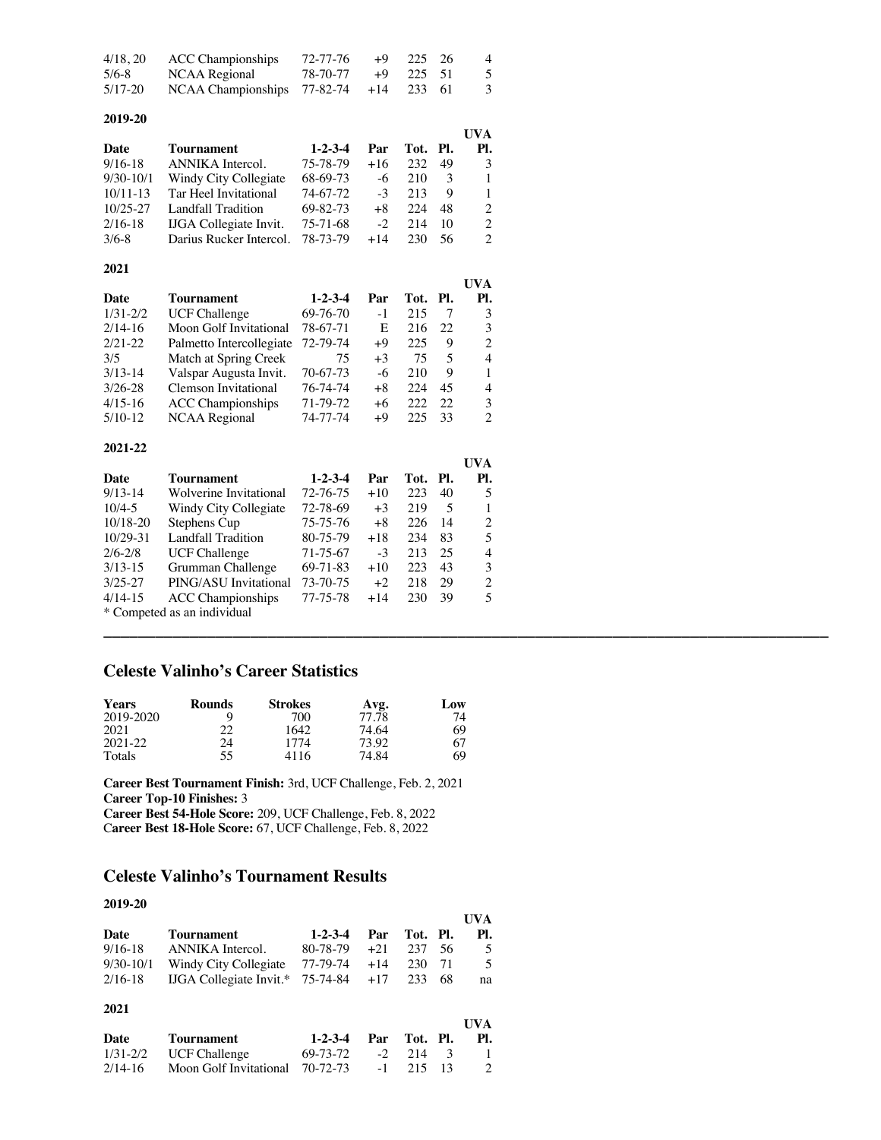| 4/18, 20  | ACC Championships                        | 72-77-76 | $+9$ 225 26 | $\overline{4}$ |
|-----------|------------------------------------------|----------|-------------|----------------|
| $5/6 - 8$ | NCAA Regional 78-70-77 +9 225 51         |          |             | -5             |
| 5/17-20   | NCAA Championships $77-82-74$ +14 233 61 |          |             | -3             |

| 2019-20      |                               |                 |       |          |    |                             |
|--------------|-------------------------------|-----------------|-------|----------|----|-----------------------------|
|              |                               |                 |       |          |    | UVA                         |
| Date         | Tournament                    | $1 - 2 - 3 - 4$ | Par   | Tot. Pl. |    | Pl.                         |
| $9/16 - 18$  | ANNIKA Intercol.              | 75-78-79        | $+16$ | 232      | 49 | 3                           |
| $9/30-10/1$  | Windy City Collegiate         | 68-69-73        | $-6$  | 210      | 3  | 1                           |
| $10/11-13$   | Tar Heel Invitational         | 74-67-72        | $-3$  | 213      | 9  | 1                           |
| $10/25 - 27$ | Landfall Tradition            | 69-82-73        | $+8$  | 224      | 48 | 2                           |
| $2/16-18$    | <b>IJGA</b> Collegiate Invit. | 75-71-68        | $-2$  | 214      | 10 | $\mathcal{D}_{\mathcal{L}}$ |
| $3/6-8$      | Darius Rucker Intercol.       | 78-73-79        | $+14$ | 230      | 56 | $\mathfrak{D}$              |
|              |                               |                 |       |          |    |                             |

|              |                             |                 |      |          |     | UVA                         |
|--------------|-----------------------------|-----------------|------|----------|-----|-----------------------------|
| Date         | Tournament                  | $1 - 2 - 3 - 4$ | Par  | Tot. Pl. |     | PI.                         |
| $1/31 - 2/2$ | <b>UCF Challenge</b>        | 69-76-70        | $-1$ | 215      | 7   | 3                           |
| $2/14-16$    | Moon Golf Invitational      | 78-67-71        | E    | 216      | 22. | 3                           |
| $2/21-22$    | Palmetto Intercollegiate    | 72-79-74        | $+9$ | 225      | 9   | 2                           |
| 3/5          | Match at Spring Creek       | 75              | $+3$ | 75       | 5   | 4                           |
| $3/13-14$    | Valspar Augusta Invit.      | 70-67-73        | -6   | 210      | 9   |                             |
| $3/26 - 28$  | <b>Clemson Invitational</b> | 76-74-74        | $+8$ | 224      | 45  | 4                           |
| $4/15-16$    | <b>ACC</b> Championships    | 71-79-72        | +6   | 222      | 22  | 3                           |
| $5/10-12$    | <b>NCAA Regional</b>        | 74-77-74        | $+9$ | 225      | 33  | $\mathcal{D}_{\mathcal{A}}$ |

| 2021-22                     |                          |                 |       |      |     |                |
|-----------------------------|--------------------------|-----------------|-------|------|-----|----------------|
|                             |                          |                 |       |      |     | <b>UVA</b>     |
| Date                        | Tournament               | $1 - 2 - 3 - 4$ | Par   | Tot. | PI. | PI.            |
| $9/13-14$                   | Wolverine Invitational   | 72-76-75        | $+10$ | 223  | 40  | 5              |
| $10/4 - 5$                  | Windy City Collegiate    | 72-78-69        | $+3$  | 219  | 5   |                |
| $10/18 - 20$                | Stephens Cup             | 75-75-76        | $+8$  | 226  | 14  | 2              |
| $10/29 - 31$                | Landfall Tradition       | 80-75-79        | $+18$ | 234  | 83  | 5              |
| $2/6 - 2/8$                 | <b>UCF Challenge</b>     | 71-75-67        | $-3$  | 213  | 25  | 4              |
| $3/13 - 15$                 | Grumman Challenge        | 69-71-83        | $+10$ | 223  | 43  | 3              |
| $3/25 - 27$                 | PING/ASU Invitational    | 73-70-75        | $+2$  | 218  | 29  | $\mathfrak{D}$ |
| $4/14-15$                   | <b>ACC Championships</b> | 77-75-78        | $+14$ | 230  | 39  | 5              |
| * Competed as an individual |                          |                 |       |      |     |                |

**\_\_\_\_\_\_\_\_\_\_\_\_\_\_\_\_\_\_\_\_\_\_\_\_\_\_\_\_\_\_\_\_\_\_\_\_\_\_\_\_\_\_\_\_\_\_\_\_\_\_\_\_\_\_\_\_\_\_\_\_\_\_\_\_\_\_\_\_\_\_\_\_\_\_\_\_\_\_\_\_\_\_\_\_**

# **Celeste Valinho's Career Statistics**

**2021**

| <b>Years</b> | <b>Rounds</b> | <b>Strokes</b> | Avg.  | Low |
|--------------|---------------|----------------|-------|-----|
| 2019-2020    |               | 700            | 77.78 | 74  |
| 2021         | າາ            | 1642.          | 74.64 | 69  |
| 2021-22      | 24            | 1774           | 73.92 | 67  |
| Totals       | 55            | 4116           | 74.84 | 69  |

**Career Best Tournament Finish:** 3rd, UCF Challenge, Feb. 2, 2021 **Career Top-10 Finishes:** 3 **Career Best 54-Hole Score:** 209, UCF Challenge, Feb. 8, 2022 C**areer Best 18-Hole Score:** 67, UCF Challenge, Feb. 8, 2022

# **Celeste Valinho's Tournament Results**

Moon Golf Invitational 70-72-73

| 2019-20      |                                |                 |       |      |     |                |
|--------------|--------------------------------|-----------------|-------|------|-----|----------------|
|              |                                |                 |       |      |     | UVA            |
| Date         | Tournament                     | $1 - 2 - 3 - 4$ | Par   | Tot. | PI. | PI.            |
| $9/16-18$    | ANNIKA Intercol.               | 80-78-79        | $+21$ | 237  | 56  | 5              |
| $9/30-10/1$  | Windy City Collegiate          | 77-79-74        | $+14$ | 230  | 71  | 5              |
| $2/16-18$    | <b>IJGA</b> Collegiate Invit.* | 75-74-84        | $+17$ | 233  | 68  | na             |
| 2021         |                                |                 |       |      |     |                |
|              |                                |                 |       |      |     | UVA            |
| Date         | Tournament                     | $1 - 2 - 3 - 4$ | Par   | Tot. | PI. | PI.            |
| $1/31 - 2/2$ | UCF Challenge                  | 69-73-72        | $-2$  | 214  | 3   |                |
| $2/14-16$    | Moon Golf Invitational         | 70-72-73        |       | 215  | 13  | $\mathfrak{D}$ |